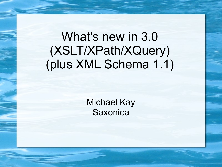# What's new in 3.0 (XSLT/XPath/XQuery) (plus XML Schema 1.1)

Michael Kay **Saxonica**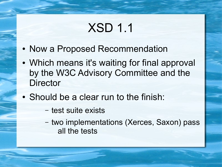# XSD 1.1

- Now a Proposed Recommendation
- Which means it's waiting for final approval by the W3C Advisory Committee and the **Director**
- Should be a clear run to the finish:
	- test suite exists
	- two implementations (Xerces, Saxon) pass all the tests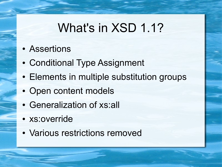#### What's in XSD 1.1?

- Assertions
- Conditional Type Assignment
- Elements in multiple substitution groups
- Open content models
- Generalization of xs:all
- xs:override
- Various restrictions removed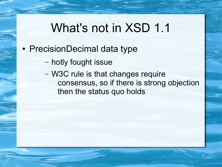#### What's not in XSD 1.1

- PrecisionDecimal data type
	- hotly fought issue
	- W3C rule is that changes require consensus, so if there is strong objection then the status quo holds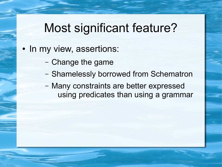### Most significant feature?

- In my view, assertions:
	- Change the game
	- Shamelessly borrowed from Schematron
	- Many constraints are better expressed using predicates than using a grammar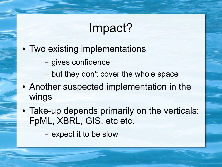### Impact?

- Two existing implementations
	- gives confidence
	- but they don't cover the whole space
- Another suspected implementation in the wings
- Take-up depends primarily on the verticals: FpML, XBRL, GIS, etc etc.

– expect it to be slow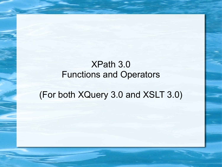#### XPath 3.0 Functions and Operators

#### (For both XQuery 3.0 and XSLT 3.0)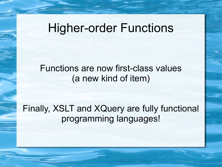#### Higher-order Functions

#### Functions are now first-class values (a new kind of item)

Finally, XSLT and XQuery are fully functional programming languages!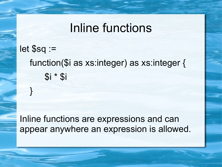#### Inline functions

#### let \$sq := function(\$i as xs:integer) as xs:integer { \$i \* \$i

}

Inline functions are expressions and can appear anywhere an expression is allowed.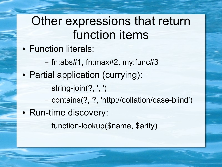## Other expressions that return function items

- Function literals:
	- fn:abs#1, fn:max#2, my:func#3
- Partial application (currying):
	- string-join(?, ', ')
	- contains(?, ?, 'http://collation/case-blind')
- Run-time discovery:
	- function-lookup(\$name, \$arity)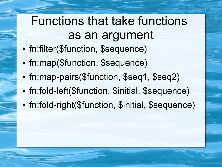# Functions that take functions as an argument

- fn:filter(\$function, \$sequence)
- fn:map(\$function, \$sequence)
- fn:map-pairs(\$function, \$seq1, \$seq2)
- fn:fold-left(\$function, \$initial, \$sequence)
- fn:fold-right(\$function, \$initial, \$sequence)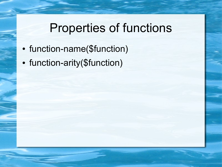# Properties of functions

- function-name(\$function)
- function-arity(\$function)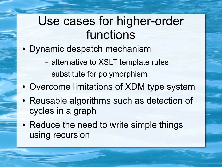## Use cases for higher-order functions

- Dynamic despatch mechanism
	- alternative to XSLT template rules
	- substitute for polymorphism
- Overcome limitations of XDM type system
- Reusable algorithms such as detection of cycles in a graph
- Reduce the need to write simple things using recursion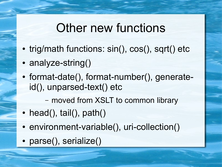#### Other new functions

- trig/math functions: sin(), cos(), sqrt() etc
- analyze-string()
- format-date(), format-number(), generateid(), unparsed-text() etc

– moved from XSLT to common library

- head(), tail(),  $path()$
- environment-variable(), uri-collection()
- parse(), serialize()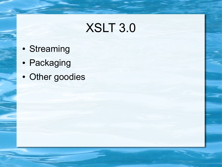# XSLT 3.0

- Streaming
- Packaging
- Other goodies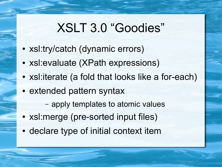# XSLT 3.0 "Goodies"

- xsl:try/catch (dynamic errors)
- xsl: evaluate (XPath expressions)
- xsl: iterate (a fold that looks like a for-each)
- extended pattern syntax
	- apply templates to atomic values
- xsl: merge (pre-sorted input files)
- declare type of initial context item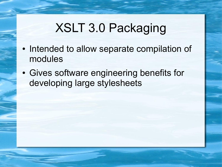# XSLT 3.0 Packaging

- Intended to allow separate compilation of modules
- Gives software engineering benefits for developing large stylesheets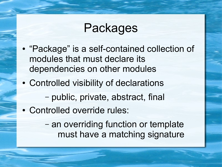## Packages

- "Package" is a self-contained collection of modules that must declare its dependencies on other modules
- Controlled visibility of declarations – public, private, abstract, final
- Controlled override rules:
	- an overriding function or template must have a matching signature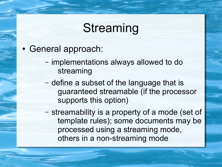## Streaming

- General approach:
	- implementations always allowed to do streaming
	- define a subset of the language that is guaranteed streamable (if the processor supports this option)
	- streamability is a property of a mode (set of template rules); some documents may be processed using a streaming mode, others in a non-streaming mode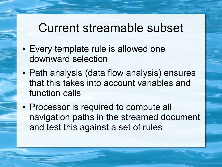#### Current streamable subset

- Every template rule is allowed one downward selection
- Path analysis (data flow analysis) ensures that this takes into account variables and function calls
- Processor is required to compute all navigation paths in the streamed document and test this against a set of rules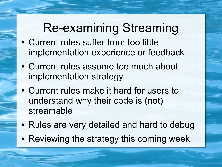# Re-examining Streaming

- Current rules suffer from too little implementation experience or feedback
- Current rules assume too much about implementation strategy
- Current rules make it hard for users to understand why their code is (not) streamable
- Rules are very detailed and hard to debug
- Reviewing the strategy this coming week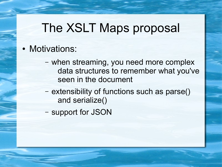### The XSLT Maps proposal

#### • Motivations:

- when streaming, you need more complex data structures to remember what you've seen in the document
- extensibility of functions such as parse() and serialize()
- support for JSON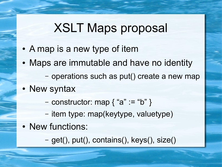### XSLT Maps proposal

- A map is a new type of item
- Maps are immutable and have no identity – operations such as put() create a new map
- New syntax
	- constructor: map  $\{$  "a" := "b"  $\}$
	- item type: map(keytype, valuetype)
- New functions:

– get(), put(), contains(), keys(), size()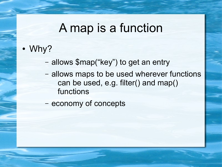#### A map is a function

- Why?
	- allows \$map("key") to get an entry
	- allows maps to be used wherever functions can be used, e.g. filter() and map() functions
	- economy of concepts